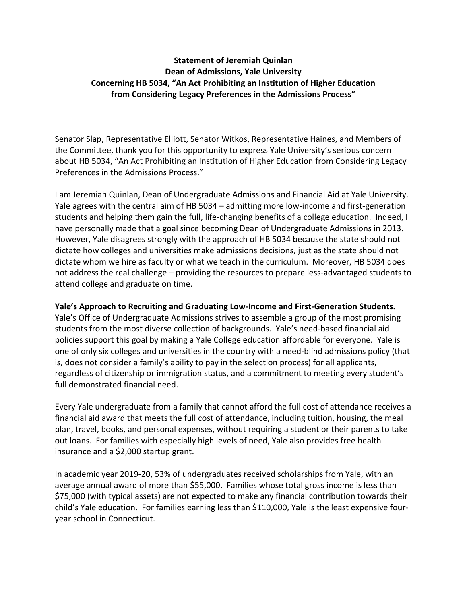## **Statement of Jeremiah Quinlan Dean of Admissions, Yale University Concerning HB 5034, "An Act Prohibiting an Institution of Higher Education from Considering Legacy Preferences in the Admissions Process"**

Senator Slap, Representative Elliott, Senator Witkos, Representative Haines, and Members of the Committee, thank you for this opportunity to express Yale University's serious concern about HB 5034, "An Act Prohibiting an Institution of Higher Education from Considering Legacy Preferences in the Admissions Process."

I am Jeremiah Quinlan, Dean of Undergraduate Admissions and Financial Aid at Yale University. Yale agrees with the central aim of HB 5034 – admitting more low-income and first-generation students and helping them gain the full, life-changing benefits of a college education. Indeed, I have personally made that a goal since becoming Dean of Undergraduate Admissions in 2013. However, Yale disagrees strongly with the approach of HB 5034 because the state should not dictate how colleges and universities make admissions decisions, just as the state should not dictate whom we hire as faculty or what we teach in the curriculum. Moreover, HB 5034 does not address the real challenge – providing the resources to prepare less-advantaged students to attend college and graduate on time.

## **Yale's Approach to Recruiting and Graduating Low-Income and First-Generation Students.**

Yale's Office of Undergraduate Admissions strives to assemble a group of the most promising students from the most diverse collection of backgrounds. Yale's need-based financial aid policies support this goal by making a Yale College education affordable for everyone. Yale is one of only six colleges and universities in the country with a need-blind admissions policy (that is, does not consider a family's ability to pay in the selection process) for all applicants, regardless of citizenship or immigration status, and a commitment to meeting every student's full demonstrated financial need.

Every Yale undergraduate from a family that cannot afford the full cost of attendance receives a financial aid award that meets the full cost of attendance, including tuition, housing, the meal plan, travel, books, and personal expenses, without requiring a student or their parents to take out loans. For families with especially high levels of need, Yale also provides free health insurance and a \$2,000 startup grant.

In academic year 2019-20, 53% of undergraduates received scholarships from Yale, with an average annual award of more than \$55,000. Families whose total gross income is less than \$75,000 (with typical assets) are not expected to make any financial contribution towards their child's Yale education. For families earning less than \$110,000, Yale is the least expensive fouryear school in Connecticut.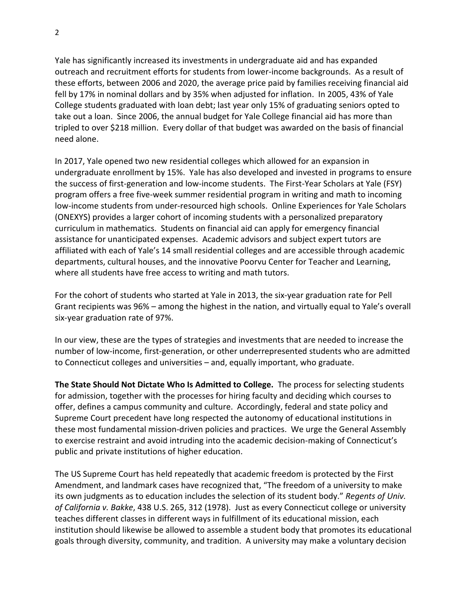Yale has significantly increased its investments in undergraduate aid and has expanded outreach and recruitment efforts for students from lower-income backgrounds. As a result of these efforts, between 2006 and 2020, the average price paid by families receiving financial aid fell by 17% in nominal dollars and by 35% when adjusted for inflation. In 2005, 43% of Yale College students graduated with loan debt; last year only 15% of graduating seniors opted to take out a loan. Since 2006, the annual budget for Yale College financial aid has more than tripled to over \$218 million. Every dollar of that budget was awarded on the basis of financial need alone.

In 2017, Yale opened two new residential colleges which allowed for an expansion in undergraduate enrollment by 15%. Yale has also developed and invested in programs to ensure the success of first-generation and low-income students. The First-Year Scholars at Yale (FSY) program offers a free five-week summer residential program in writing and math to incoming low-income students from under-resourced high schools. Online Experiences for Yale Scholars (ONEXYS) provides a larger cohort of incoming students with a personalized preparatory curriculum in mathematics. Students on financial aid can apply for emergency financial assistance for unanticipated expenses. Academic advisors and subject expert tutors are affiliated with each of Yale's 14 small residential colleges and are accessible through academic departments, cultural houses, and the innovative Poorvu Center for Teacher and Learning, where all students have free access to writing and math tutors.

For the cohort of students who started at Yale in 2013, the six-year graduation rate for Pell Grant recipients was 96% – among the highest in the nation, and virtually equal to Yale's overall six-year graduation rate of 97%.

In our view, these are the types of strategies and investments that are needed to increase the number of low-income, first-generation, or other underrepresented students who are admitted to Connecticut colleges and universities – and, equally important, who graduate.

**The State Should Not Dictate Who Is Admitted to College.** The process for selecting students for admission, together with the processes for hiring faculty and deciding which courses to offer, defines a campus community and culture. Accordingly, federal and state policy and Supreme Court precedent have long respected the autonomy of educational institutions in these most fundamental mission-driven policies and practices. We urge the General Assembly to exercise restraint and avoid intruding into the academic decision-making of Connecticut's public and private institutions of higher education.

The US Supreme Court has held repeatedly that academic freedom is protected by the First Amendment, and landmark cases have recognized that, "The freedom of a university to make its own judgments as to education includes the selection of its student body." *Regents of Univ. of California v. Bakke*, 438 U.S. 265, 312 (1978). Just as every Connecticut college or university teaches different classes in different ways in fulfillment of its educational mission, each institution should likewise be allowed to assemble a student body that promotes its educational goals through diversity, community, and tradition. A university may make a voluntary decision